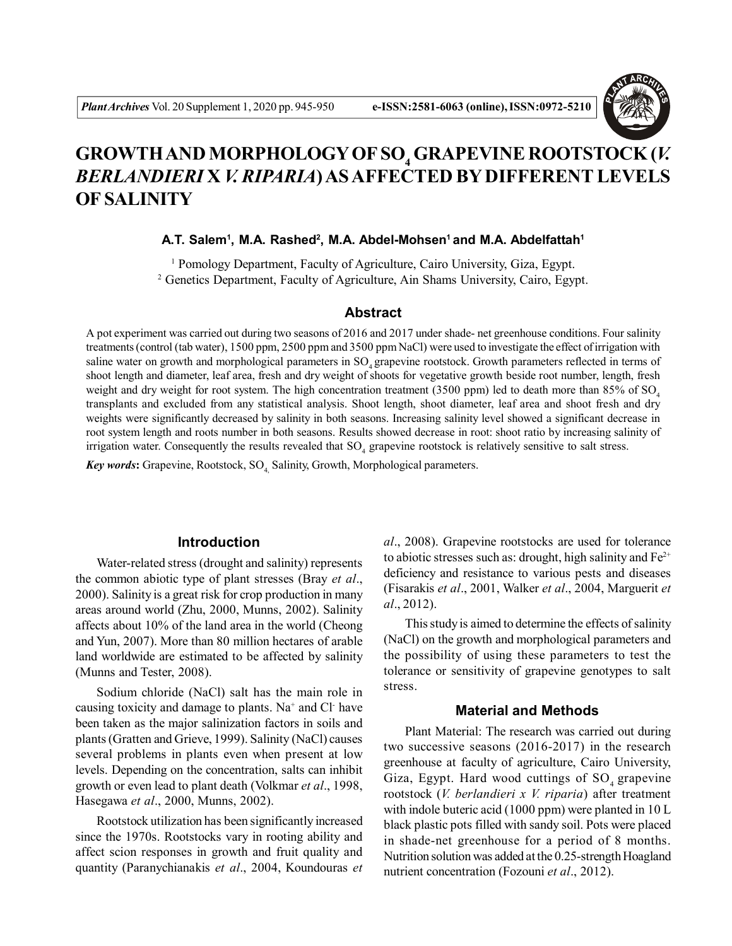

# **GROWTH AND MORPHOLOGY OF SO<sup>4</sup> GRAPEVINE ROOTSTOCK (***V. BERLANDIERI* **X** *V. RIPARIA***) AS AFFECTED BY DIFFERENT LEVELS OF SALINITY**

**A.T. Salem<sup>1</sup> , M.A. Rashed<sup>2</sup> , M.A. Abdel-Mohsen<sup>1</sup>and M.A. Abdelfattah<sup>1</sup>**

<sup>1</sup> Pomology Department, Faculty of Agriculture, Cairo University, Giza, Egypt. <sup>2</sup> Genetics Department, Faculty of Agriculture, Ain Shams University, Cairo, Egypt.

# **Abstract**

A pot experiment was carried out during two seasons of 2016 and 2017 under shade- net greenhouse conditions. Four salinity treatments (control (tab water), 1500 ppm, 2500 ppm and 3500 ppm NaCl) were used to investigate the effect of irrigation with saline water on growth and morphological parameters in SO<sub>4</sub> grapevine rootstock. Growth parameters reflected in terms of shoot length and diameter, leaf area, fresh and dry weight of shoots for vegetative growth beside root number, length, fresh weight and dry weight for root system. The high concentration treatment (3500 ppm) led to death more than 85% of SO<sub>4</sub> transplants and excluded from any statistical analysis. Shoot length, shoot diameter, leaf area and shoot fresh and dry weights were significantly decreased by salinity in both seasons. Increasing salinity level showed a significant decrease in root system length and roots number in both seasons. Results showed decrease in root: shoot ratio by increasing salinity of irrigation water. Consequently the results revealed that  $SO_4$  grapevine rootstock is relatively sensitive to salt stress.

**Key words:** Grapevine, Rootstock, SO<sub>4</sub> Salinity, Growth, Morphological parameters.

#### **Introduction**

Water-related stress (drought and salinity) represents the common abiotic type of plant stresses (Bray *et al*., 2000). Salinity is a great risk for crop production in many areas around world (Zhu, 2000, Munns, 2002). Salinity affects about 10% of the land area in the world (Cheong and Yun, 2007). More than 80 million hectares of arable land worldwide are estimated to be affected by salinity (Munns and Tester, 2008).

Sodium chloride (NaCl) salt has the main role in causing toxicity and damage to plants. Na<sup>+</sup> and Cl have been taken as the major salinization factors in soils and plants (Gratten and Grieve, 1999). Salinity (NaCl) causes several problems in plants even when present at low levels. Depending on the concentration, salts can inhibit growth or even lead to plant death (Volkmar *et al*., 1998, Hasegawa *et al*., 2000, Munns, 2002).

Rootstock utilization has been significantly increased since the 1970s. Rootstocks vary in rooting ability and affect scion responses in growth and fruit quality and quantity (Paranychianakis *et al*., 2004, Koundouras *et* *al*., 2008). Grapevine rootstocks are used for tolerance to abiotic stresses such as: drought, high salinity and  $Fe^{2+}$ deficiency and resistance to various pests and diseases (Fisarakis *et al*., 2001, Walker *et al*., 2004, Marguerit *et al*., 2012).

This study is aimed to determine the effects of salinity (NaCl) on the growth and morphological parameters and the possibility of using these parameters to test the tolerance or sensitivity of grapevine genotypes to salt stress.

# **Material and Methods**

Plant Material: The research was carried out during two successive seasons (2016-2017) in the research greenhouse at faculty of agriculture, Cairo University, Giza, Egypt. Hard wood cuttings of  $SO<sub>4</sub>$  grapevine rootstock (*V. berlandieri x V. riparia*) after treatment with indole buteric acid (1000 ppm) were planted in 10 L black plastic pots filled with sandy soil. Pots were placed in shade-net greenhouse for a period of 8 months. Nutrition solution was added at the 0.25-strength Hoagland nutrient concentration (Fozouni *et al*., 2012).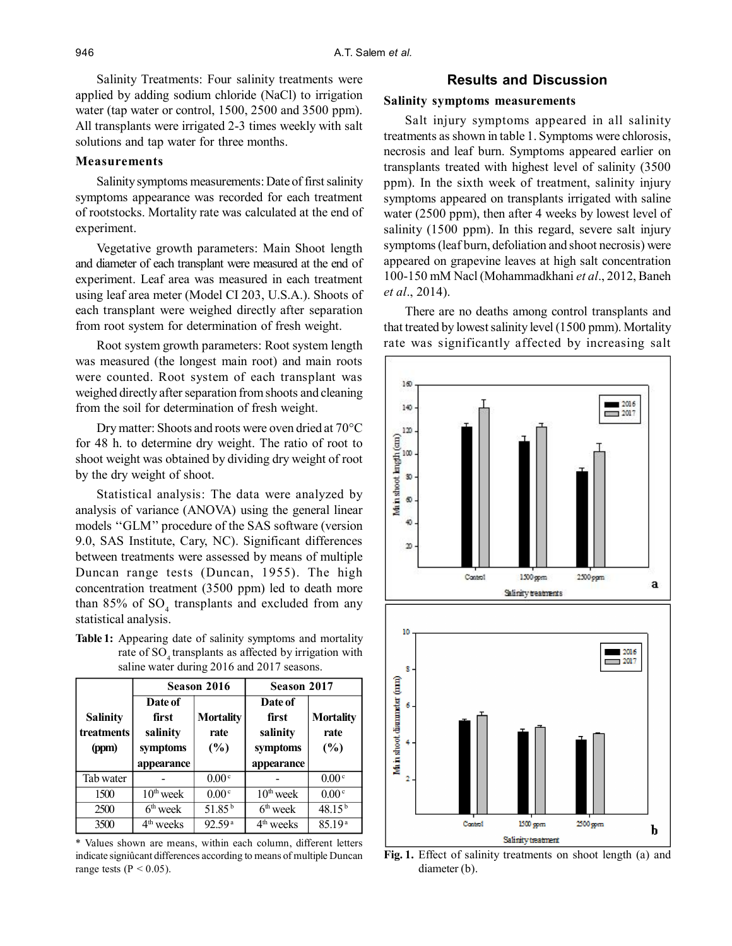Salinity Treatments: Four salinity treatments were applied by adding sodium chloride (NaCl) to irrigation water (tap water or control, 1500, 2500 and 3500 ppm). All transplants were irrigated 2-3 times weekly with salt solutions and tap water for three months.

#### **Measurements**

Salinity symptoms measurements: Date of first salinity symptoms appearance was recorded for each treatment of rootstocks. Mortality rate was calculated at the end of experiment.

Vegetative growth parameters: Main Shoot length and diameter of each transplant were measured at the end of experiment. Leaf area was measured in each treatment using leaf area meter (Model CI 203, U.S.A.). Shoots of each transplant were weighed directly after separation from root system for determination of fresh weight.

Root system growth parameters: Root system length was measured (the longest main root) and main roots were counted. Root system of each transplant was weighed directly after separation from shoots and cleaning from the soil for determination of fresh weight.

Dry matter: Shoots and roots were oven dried at 70°C for 48 h. to determine dry weight. The ratio of root to shoot weight was obtained by dividing dry weight of root by the dry weight of shoot.

Statistical analysis: The data were analyzed by analysis of variance (ANOVA) using the general linear models ''GLM'' procedure of the SAS software (version 9.0, SAS Institute, Cary, NC). Significant differences between treatments were assessed by means of multiple Duncan range tests (Duncan, 1955). The high concentration treatment (3500 ppm) led to death more than  $85\%$  of  $SO_4$  transplants and excluded from any statistical analysis.

**Table 1:** Appearing date of salinity symptoms and mortality rate of SO<sub>4</sub> transplants as affected by irrigation with saline water during 2016 and 2017 seasons.

|                                        | Season 2016                                            |                                 | Season 2017                                            |                                 |
|----------------------------------------|--------------------------------------------------------|---------------------------------|--------------------------------------------------------|---------------------------------|
| <b>Salinity</b><br>treatments<br>(ppm) | Date of<br>first<br>salinity<br>symptoms<br>appearance | <b>Mortality</b><br>rate<br>(%) | Date of<br>first<br>salinity<br>symptoms<br>appearance | <b>Mortality</b><br>rate<br>(%) |
| Tab water                              |                                                        | 0.00 <sup>c</sup>               |                                                        | 0.00 <sup>c</sup>               |
| 1500                                   | $10th$ week                                            | 0.00 <sup>c</sup>               | $10th$ week                                            | 0.00 <sup>c</sup>               |
| 2500                                   | $6th$ week                                             | $51.85^{b}$                     | $6th$ week                                             | $48.15^{b}$                     |
| 3500                                   | 4 <sup>th</sup> weeks                                  | 92.59a                          | 4 <sup>th</sup> weeks                                  | 85.19 <sup>a</sup>              |

\* Values shown are means, within each column, different letters indicate signiûcant differences according to means of multiple Duncan range tests ( $P < 0.05$ ).

# **Results and Discussion**

#### **Salinity symptoms measurements**

Salt injury symptoms appeared in all salinity treatments as shown in table 1. Symptoms were chlorosis, necrosis and leaf burn. Symptoms appeared earlier on transplants treated with highest level of salinity (3500 ppm). In the sixth week of treatment, salinity injury symptoms appeared on transplants irrigated with saline water (2500 ppm), then after 4 weeks by lowest level of salinity (1500 ppm). In this regard, severe salt injury symptoms (leaf burn, defoliation and shoot necrosis) were appeared on grapevine leaves at high salt concentration 100-150 mM Nacl (Mohammadkhani *et al*., 2012, Baneh *et al*., 2014).

There are no deaths among control transplants and that treated by lowest salinity level (1500 pmm). Mortality rate was significantly affected by increasing salt



**Fig. 1.** Effect of salinity treatments on shoot length (a) and diameter (b).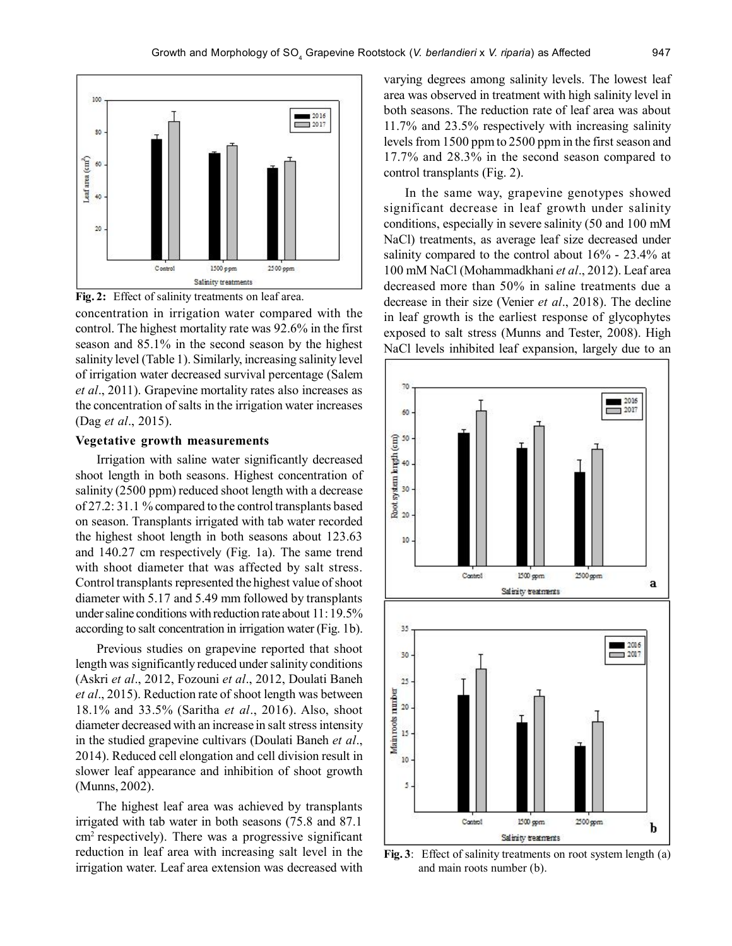



concentration in irrigation water compared with the control. The highest mortality rate was 92.6% in the first season and 85.1% in the second season by the highest salinity level (Table 1). Similarly, increasing salinity level of irrigation water decreased survival percentage (Salem *et al*., 2011). Grapevine mortality rates also increases as the concentration of salts in the irrigation water increases (Dag *et al*., 2015).

# **Vegetative growth measurements**

Irrigation with saline water significantly decreased shoot length in both seasons. Highest concentration of salinity (2500 ppm) reduced shoot length with a decrease of 27.2: 31.1 % compared to the control transplants based on season. Transplants irrigated with tab water recorded the highest shoot length in both seasons about 123.63 and 140.27 cm respectively (Fig. 1a). The same trend with shoot diameter that was affected by salt stress. Control transplants represented the highest value of shoot diameter with 5.17 and 5.49 mm followed by transplants under saline conditions with reduction rate about 11: 19.5% according to salt concentration in irrigation water (Fig. 1b).

Previous studies on grapevine reported that shoot length was significantly reduced under salinity conditions (Askri *et al*., 2012, Fozouni *et al*., 2012, Doulati Baneh *et al*., 2015). Reduction rate of shoot length was between 18.1% and 33.5% (Saritha *et al*., 2016). Also, shoot diameter decreased with an increase in salt stress intensity in the studied grapevine cultivars (Doulati Baneh *et al*., 2014). Reduced cell elongation and cell division result in slower leaf appearance and inhibition of shoot growth (Munns, 2002).

The highest leaf area was achieved by transplants irrigated with tab water in both seasons (75.8 and 87.1  $cm<sup>2</sup>$  respectively). There was a progressive significant reduction in leaf area with increasing salt level in the irrigation water. Leaf area extension was decreased with varying degrees among salinity levels. The lowest leaf area was observed in treatment with high salinity level in both seasons. The reduction rate of leaf area was about 11.7% and 23.5% respectively with increasing salinity levels from 1500 ppm to 2500 ppm in the first season and 17.7% and 28.3% in the second season compared to control transplants (Fig. 2).

In the same way, grapevine genotypes showed significant decrease in leaf growth under salinity conditions, especially in severe salinity (50 and 100 mM NaCl) treatments, as average leaf size decreased under salinity compared to the control about 16% - 23.4% at 100 mM NaCl (Mohammadkhani *et al*., 2012). Leaf area decreased more than 50% in saline treatments due a decrease in their size (Venier *et al*., 2018). The decline in leaf growth is the earliest response of glycophytes exposed to salt stress (Munns and Tester, 2008). High NaCl levels inhibited leaf expansion, largely due to an



**Fig. 3**: Effect of salinity treatments on root system length (a) and main roots number (b).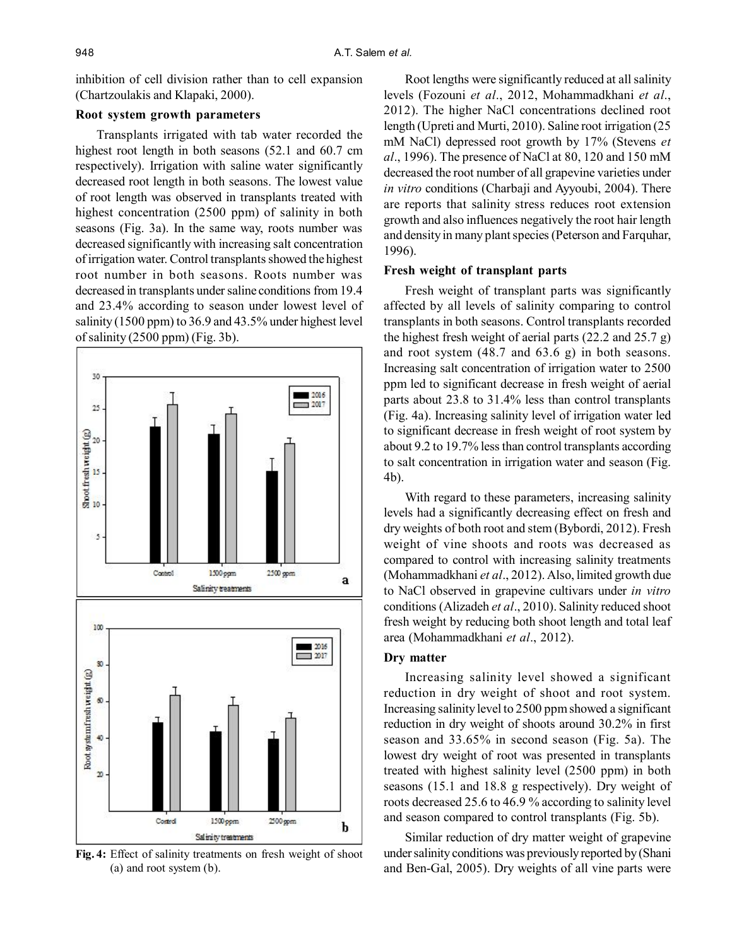inhibition of cell division rather than to cell expansion (Chartzoulakis and Klapaki, 2000).

### **Root system growth parameters**

Transplants irrigated with tab water recorded the highest root length in both seasons (52.1 and 60.7 cm respectively). Irrigation with saline water significantly decreased root length in both seasons. The lowest value of root length was observed in transplants treated with highest concentration (2500 ppm) of salinity in both seasons (Fig. 3a). In the same way, roots number was decreased significantly with increasing salt concentration of irrigation water. Control transplants showed the highest root number in both seasons. Roots number was decreased in transplants under saline conditions from 19.4 and 23.4% according to season under lowest level of salinity (1500 ppm) to 36.9 and 43.5% under highest level of salinity (2500 ppm) (Fig. 3b).



**Fig. 4:** Effect of salinity treatments on fresh weight of shoot (a) and root system (b).

Root lengths were significantly reduced at all salinity levels (Fozouni *et al*., 2012, Mohammadkhani *et al*., 2012). The higher NaCl concentrations declined root length (Upreti and Murti, 2010). Saline root irrigation (25 mM NaCl) depressed root growth by 17% (Stevens *et al*., 1996). The presence of NaCl at 80, 120 and 150 mM decreased the root number of all grapevine varieties under *in vitro* conditions (Charbaji and Ayyoubi, 2004). There are reports that salinity stress reduces root extension growth and also influences negatively the root hair length and density in many plant species (Peterson and Farquhar, 1996).

#### **Fresh weight of transplant parts**

Fresh weight of transplant parts was significantly affected by all levels of salinity comparing to control transplants in both seasons. Control transplants recorded the highest fresh weight of aerial parts (22.2 and 25.7 g) and root system (48.7 and 63.6 g) in both seasons. Increasing salt concentration of irrigation water to 2500 ppm led to significant decrease in fresh weight of aerial parts about 23.8 to 31.4% less than control transplants (Fig. 4a). Increasing salinity level of irrigation water led to significant decrease in fresh weight of root system by about 9.2 to 19.7% less than control transplants according to salt concentration in irrigation water and season (Fig. 4b).

With regard to these parameters, increasing salinity levels had a significantly decreasing effect on fresh and dry weights of both root and stem (Bybordi, 2012). Fresh weight of vine shoots and roots was decreased as compared to control with increasing salinity treatments (Mohammadkhani *et al*., 2012). Also, limited growth due to NaCl observed in grapevine cultivars under *in vitro* conditions (Alizadeh *et al*., 2010). Salinity reduced shoot fresh weight by reducing both shoot length and total leaf area (Mohammadkhani *et al*., 2012).

#### **Dry matter**

Increasing salinity level showed a significant reduction in dry weight of shoot and root system. Increasing salinity level to 2500 ppm showed a significant reduction in dry weight of shoots around 30.2% in first season and 33.65% in second season (Fig. 5a). The lowest dry weight of root was presented in transplants treated with highest salinity level (2500 ppm) in both seasons (15.1 and 18.8 g respectively). Dry weight of roots decreased 25.6 to 46.9 % according to salinity level and season compared to control transplants (Fig. 5b).

Similar reduction of dry matter weight of grapevine under salinity conditions was previously reported by (Shani and Ben-Gal, 2005). Dry weights of all vine parts were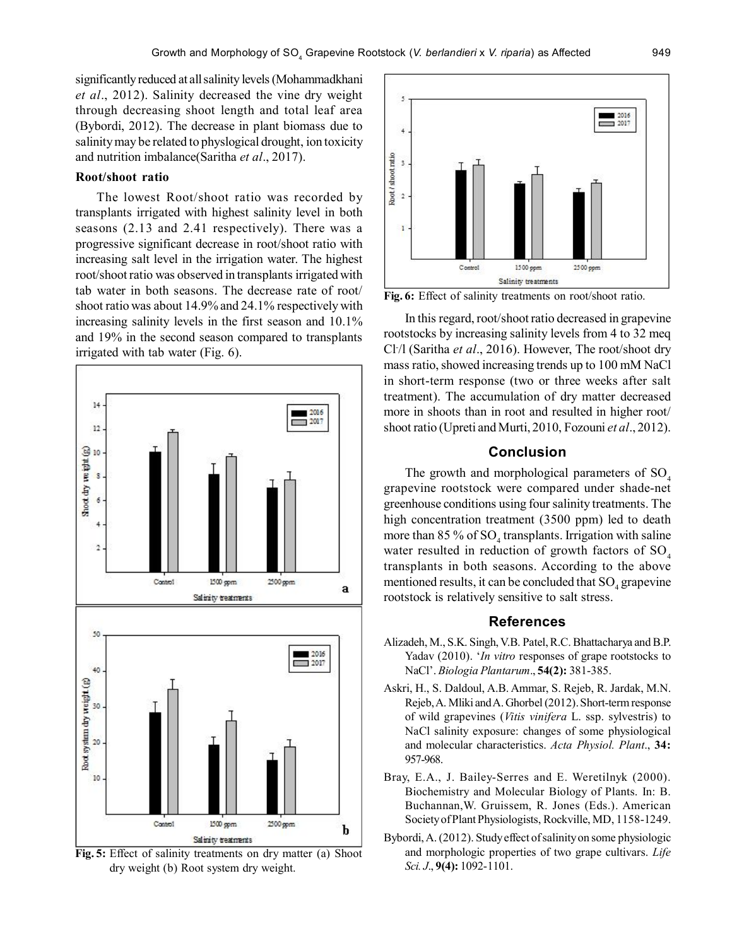significantly reduced at all salinity levels (Mohammadkhani *et al*., 2012). Salinity decreased the vine dry weight through decreasing shoot length and total leaf area (Bybordi, 2012). The decrease in plant biomass due to salinity may be related to physlogical drought, ion toxicity and nutrition imbalance(Saritha *et al*., 2017).

# **Root/shoot ratio**

The lowest Root/shoot ratio was recorded by transplants irrigated with highest salinity level in both seasons (2.13 and 2.41 respectively). There was a progressive significant decrease in root/shoot ratio with increasing salt level in the irrigation water. The highest root/shoot ratio was observed in transplants irrigated with tab water in both seasons. The decrease rate of root/ shoot ratio was about 14.9% and 24.1% respectively with increasing salinity levels in the first season and 10.1% and 19% in the second season compared to transplants irrigated with tab water (Fig. 6).



**Fig. 5:** Effect of salinity treatments on dry matter (a) Shoot dry weight (b) Root system dry weight.



**Fig. 6:** Effect of salinity treatments on root/shoot ratio.

In this regard, root/shoot ratio decreased in grapevine rootstocks by increasing salinity levels from 4 to 32 meq Cl- /l (Saritha *et al*., 2016). However, The root/shoot dry mass ratio, showed increasing trends up to 100 mM NaCl in short-term response (two or three weeks after salt treatment). The accumulation of dry matter decreased more in shoots than in root and resulted in higher root/ shoot ratio (Upreti and Murti, 2010, Fozouni *et al*., 2012).

# **Conclusion**

The growth and morphological parameters of  $SO<sub>4</sub>$ grapevine rootstock were compared under shade-net greenhouse conditions using four salinity treatments. The high concentration treatment (3500 ppm) led to death more than  $85\%$  of  $SO_4$  transplants. Irrigation with saline water resulted in reduction of growth factors of  $SO_4$ transplants in both seasons. According to the above mentioned results, it can be concluded that  $\mathrm{SO}_4$  grapevine rootstock is relatively sensitive to salt stress.

#### **References**

- Alizadeh, M., S.K. Singh, V.B. Patel, R.C. Bhattacharya and B.P. Yadav (2010). '*In vitro* responses of grape rootstocks to NaCl'. *Biologia Plantarum*., **54(2):** 381-385.
- Askri, H., S. Daldoul, A.B. Ammar, S. Rejeb, R. Jardak, M.N. Rejeb, A. Mliki and A. Ghorbel (2012). Short-term response of wild grapevines (*Vitis vinifera* L. ssp. sylvestris) to NaCl salinity exposure: changes of some physiological and molecular characteristics. *Acta Physiol. Plant*., **34:** 957-968.
- Bray, E.A., J. Bailey-Serres and E. Weretilnyk (2000). Biochemistry and Molecular Biology of Plants. In: B. Buchannan,W. Gruissem, R. Jones (Eds.). American Society of Plant Physiologists, Rockville, MD, 1158-1249.
- Bybordi, A. (2012). Study effect of salinity on some physiologic and morphologic properties of two grape cultivars. *Life Sci. J*., **9(4):** 1092-1101.